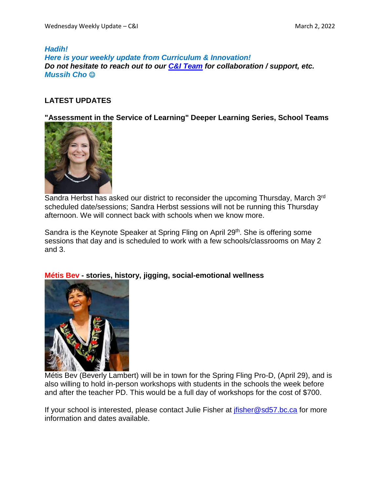### *Hadih! Here is your weekly update from Curriculum & Innovation! Do not hesitate to reach out to our C&I [Team](https://www.sd57curriculumhub.com/who-are-we) for collaboration / support, etc. Mussih Cho*

# **LATEST UPDATES**

**"Assessment in the Service of Learning" Deeper Learning Series, School Teams**



Sandra Herbst has asked our district to reconsider the upcoming Thursday, March 3<sup>rd</sup> scheduled date/sessions; Sandra Herbst sessions will not be running this Thursday afternoon. We will connect back with schools when we know more.

Sandra is the Keynote Speaker at Spring Fling on April 29<sup>th</sup>. She is offering some sessions that day and is scheduled to work with a few schools/classrooms on May 2 and 3.



## **Métis Bev - stories, history, jigging, social-emotional wellness**

Métis Bev (Beverly Lambert) will be in town for the Spring Fling Pro-D, (April 29), and is also willing to hold in-person workshops with students in the schools the week before and after the teacher PD. This would be a full day of workshops for the cost of \$700.

If your school is interested, please contact Julie Fisher at *[jfisher@sd57.bc.ca](mailto:jfisher@sd57.bc.ca)* for more information and dates available.